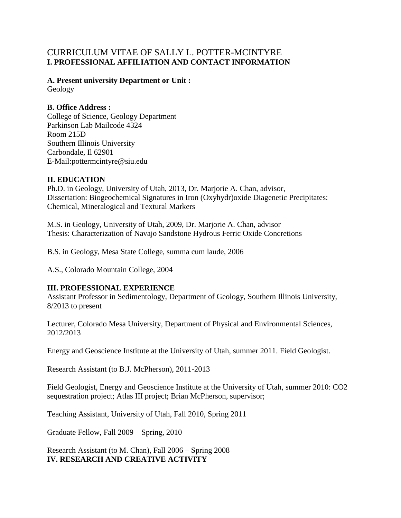# CURRICULUM VITAE OF SALLY L. POTTER-MCINTYRE **I. PROFESSIONAL AFFILIATION AND CONTACT INFORMATION**

**A. Present university Department or Unit :** Geology

# **B. Office Address :**

College of Science, Geology Department Parkinson Lab Mailcode 4324 Room 215D Southern Illinois University Carbondale, Il 62901 E-Mail:pottermcintyre@siu.edu

## **II. EDUCATION**

Ph.D. in Geology, University of Utah, 2013, Dr. Marjorie A. Chan, advisor, Dissertation: Biogeochemical Signatures in Iron (Oxyhydr)oxide Diagenetic Precipitates: Chemical, Mineralogical and Textural Markers

M.S. in Geology, University of Utah, 2009, Dr. Marjorie A. Chan, advisor Thesis: Characterization of Navajo Sandstone Hydrous Ferric Oxide Concretions

B.S. in Geology, Mesa State College, summa cum laude, 2006

A.S., Colorado Mountain College, 2004

## **III. PROFESSIONAL EXPERIENCE**

Assistant Professor in Sedimentology, Department of Geology, Southern Illinois University, 8/2013 to present

Lecturer, Colorado Mesa University, Department of Physical and Environmental Sciences, 2012/2013

Energy and Geoscience Institute at the University of Utah, summer 2011. Field Geologist.

Research Assistant (to B.J. McPherson), 2011-2013

Field Geologist, Energy and Geoscience Institute at the University of Utah, summer 2010: CO2 sequestration project; Atlas III project; Brian McPherson, supervisor;

Teaching Assistant, University of Utah, Fall 2010, Spring 2011

Graduate Fellow, Fall 2009 – Spring, 2010

Research Assistant (to M. Chan), Fall 2006 – Spring 2008 **IV. RESEARCH AND CREATIVE ACTIVITY**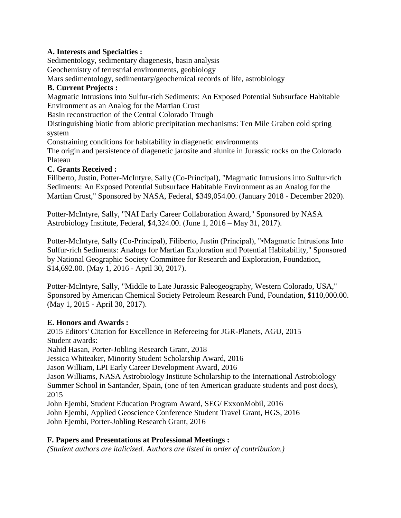## **A. Interests and Specialties :**

Sedimentology, sedimentary diagenesis, basin analysis

Geochemistry of terrestrial environments, geobiology

Mars sedimentology, sedimentary/geochemical records of life, astrobiology

# **B. Current Projects :**

Magmatic Intrusions into Sulfur-rich Sediments: An Exposed Potential Subsurface Habitable Environment as an Analog for the Martian Crust

Basin reconstruction of the Central Colorado Trough

Distinguishing biotic from abiotic precipitation mechanisms: Ten Mile Graben cold spring system

Constraining conditions for habitability in diagenetic environments

The origin and persistence of diagenetic jarosite and alunite in Jurassic rocks on the Colorado Plateau

# **C. Grants Received :**

Filiberto, Justin, Potter-McIntyre, Sally (Co-Principal), "Magmatic Intrusions into Sulfur-rich Sediments: An Exposed Potential Subsurface Habitable Environment as an Analog for the Martian Crust," Sponsored by NASA, Federal, \$349,054.00. (January 2018 - December 2020).

Potter-McIntyre, Sally, "NAI Early Career Collaboration Award," Sponsored by NASA Astrobiology Institute, Federal, \$4,324.00. (June 1, 2016 – May 31, 2017).

Potter-McIntyre, Sally (Co-Principal), Filiberto, Justin (Principal), "•Magmatic Intrusions Into Sulfur-rich Sediments: Analogs for Martian Exploration and Potential Habitability," Sponsored by National Geographic Society Committee for Research and Exploration, Foundation, \$14,692.00. (May 1, 2016 - April 30, 2017).

Potter-McIntyre, Sally, "Middle to Late Jurassic Paleogeography, Western Colorado, USA," Sponsored by American Chemical Society Petroleum Research Fund, Foundation, \$110,000.00. (May 1, 2015 - April 30, 2017).

## **E. Honors and Awards :**

2015 Editors' Citation for Excellence in Refereeing for JGR-Planets, AGU, 2015 Student awards: Nahid Hasan, Porter-Jobling Research Grant, 2018 Jessica Whiteaker, Minority Student Scholarship Award, 2016 Jason William, LPI Early Career Development Award, 2016 Jason Williams, NASA Astrobiology Institute Scholarship to the International Astrobiology Summer School in Santander, Spain, (one of ten American graduate students and post docs), 2015 John Ejembi, Student Education Program Award, SEG/ ExxonMobil, 2016 John Ejembi, Applied Geoscience Conference Student Travel Grant, HGS, 2016

John Ejembi, Porter-Jobling Research Grant, 2016

## **F. Papers and Presentations at Professional Meetings :**

*(Student authors are italicized.* A*uthors are listed in order of contribution.)*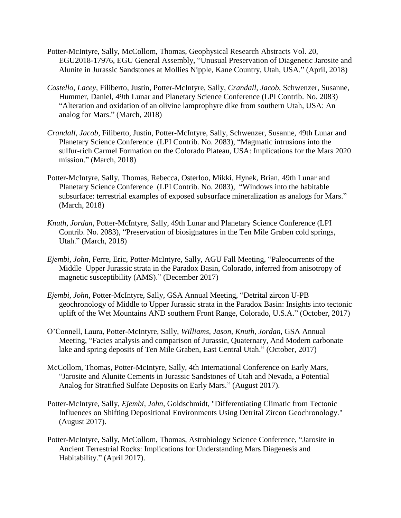- Potter-McIntyre, Sally, McCollom, Thomas, Geophysical Research Abstracts Vol. 20, EGU2018-17976, EGU General Assembly, "Unusual Preservation of Diagenetic Jarosite and Alunite in Jurassic Sandstones at Mollies Nipple, Kane Country, Utah, USA." (April, 2018)
- *Costello, Lacey*, Filiberto, Justin, Potter-McIntyre, Sally, *Crandall, Jacob*, Schwenzer, Susanne, Hummer, Daniel, 49th Lunar and Planetary Science Conference (LPI Contrib. No. 2083) "Alteration and oxidation of an olivine lamprophyre dike from southern Utah, USA: An analog for Mars." (March, 2018)
- *Crandall, Jacob*, Filiberto, Justin, Potter-McIntyre, Sally, Schwenzer, Susanne, 49th Lunar and Planetary Science Conference (LPI Contrib. No. 2083), "Magmatic intrusions into the sulfur-rich Carmel Formation on the Colorado Plateau, USA: Implications for the Mars 2020 mission." (March, 2018)
- Potter-McIntyre, Sally, Thomas, Rebecca, Osterloo, Mikki, Hynek, Brian, 49th Lunar and Planetary Science Conference (LPI Contrib. No. 2083), "Windows into the habitable subsurface: terrestrial examples of exposed subsurface mineralization as analogs for Mars." (March, 2018)
- *Knuth, Jordan*, Potter-McIntyre, Sally, 49th Lunar and Planetary Science Conference (LPI Contrib. No. 2083), "Preservation of biosignatures in the Ten Mile Graben cold springs, Utah." (March, 2018)
- *Ejembi, John*, Ferre, Eric, Potter-McIntyre, Sally, AGU Fall Meeting, "Paleocurrents of the Middle–Upper Jurassic strata in the Paradox Basin, Colorado, inferred from anisotropy of magnetic susceptibility (AMS)." (December 2017)
- *Ejembi, John*, Potter-McIntyre, Sally, GSA Annual Meeting, "Detrital zircon U-PB geochronology of Middle to Upper Jurassic strata in the Paradox Basin: Insights into tectonic uplift of the Wet Mountains AND southern Front Range, Colorado, U.S.A." (October, 2017)
- O'Connell, Laura, Potter-McIntyre, Sally, *Williams, Jason, Knuth, Jordan*, GSA Annual Meeting, "Facies analysis and comparison of Jurassic, Quaternary, And Modern carbonate lake and spring deposits of Ten Mile Graben, East Central Utah." (October, 2017)
- McCollom, Thomas, Potter-McIntyre, Sally, 4th International Conference on Early Mars, "Jarosite and Alunite Cements in Jurassic Sandstones of Utah and Nevada, a Potential Analog for Stratified Sulfate Deposits on Early Mars." (August 2017).
- Potter-McIntyre, Sally, *Ejembi, John*, Goldschmidt, "Differentiating Climatic from Tectonic Influences on Shifting Depositional Environments Using Detrital Zircon Geochronology." (August 2017).
- Potter-McIntyre, Sally, McCollom, Thomas, Astrobiology Science Conference, "Jarosite in Ancient Terrestrial Rocks: Implications for Understanding Mars Diagenesis and Habitability." (April 2017).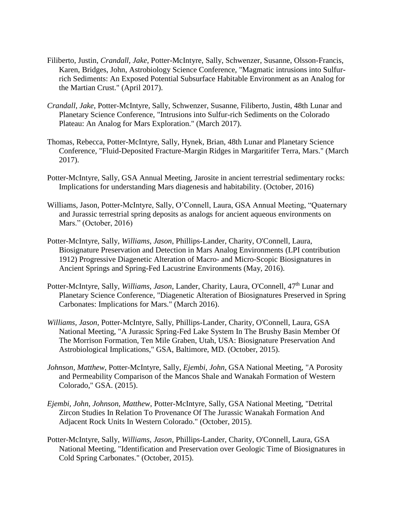- Filiberto, Justin, *Crandall, Jake*, Potter-McIntyre, Sally, Schwenzer, Susanne, Olsson-Francis, Karen, Bridges, John, Astrobiology Science Conference, "Magmatic intrusions into Sulfurrich Sediments: An Exposed Potential Subsurface Habitable Environment as an Analog for the Martian Crust." (April 2017).
- *Crandall, Jake*, Potter-McIntyre, Sally, Schwenzer, Susanne, Filiberto, Justin, 48th Lunar and Planetary Science Conference, "Intrusions into Sulfur-rich Sediments on the Colorado Plateau: An Analog for Mars Exploration." (March 2017).
- Thomas, Rebecca, Potter-McIntyre, Sally, Hynek, Brian, 48th Lunar and Planetary Science Conference, "Fluid-Deposited Fracture-Margin Ridges in Margaritifer Terra, Mars." (March 2017).
- Potter-McIntyre, Sally, GSA Annual Meeting, Jarosite in ancient terrestrial sedimentary rocks: Implications for understanding Mars diagenesis and habitability. (October, 2016)
- Williams, Jason, Potter-McIntyre, Sally, O'Connell, Laura, GSA Annual Meeting, "Quaternary and Jurassic terrestrial spring deposits as analogs for ancient aqueous environments on Mars." (October, 2016)
- Potter-McIntyre, Sally, *Williams, Jason*, Phillips-Lander, Charity, O'Connell, Laura, Biosignature Preservation and Detection in Mars Analog Environments (LPI contribution 1912) Progressive Diagenetic Alteration of Macro- and Micro-Scopic Biosignatures in Ancient Springs and Spring-Fed Lacustrine Environments (May, 2016).
- Potter-McIntyre, Sally, *Williams, Jason*, Lander, Charity, Laura, O'Connell, 47<sup>th</sup> Lunar and Planetary Science Conference, "Diagenetic Alteration of Biosignatures Preserved in Spring Carbonates: Implications for Mars." (March 2016).
- *Williams, Jason*, Potter-McIntyre, Sally, Phillips-Lander, Charity, O'Connell, Laura, GSA National Meeting, "A Jurassic Spring-Fed Lake System In The Brushy Basin Member Of The Morrison Formation, Ten Mile Graben, Utah, USA: Biosignature Preservation And Astrobiological Implications," GSA, Baltimore, MD. (October, 2015).
- *Johnson, Matthew*, Potter-McIntyre, Sally, *Ejembi, John*, GSA National Meeting, "A Porosity and Permeability Comparison of the Mancos Shale and Wanakah Formation of Western Colorado," GSA. (2015).
- *Ejembi, John*, *Johnson, Matthew*, Potter-McIntyre, Sally, GSA National Meeting, "Detrital Zircon Studies In Relation To Provenance Of The Jurassic Wanakah Formation And Adjacent Rock Units In Western Colorado." (October, 2015).
- Potter-McIntyre, Sally, *Williams, Jason*, Phillips-Lander, Charity, O'Connell, Laura, GSA National Meeting, "Identification and Preservation over Geologic Time of Biosignatures in Cold Spring Carbonates." (October, 2015).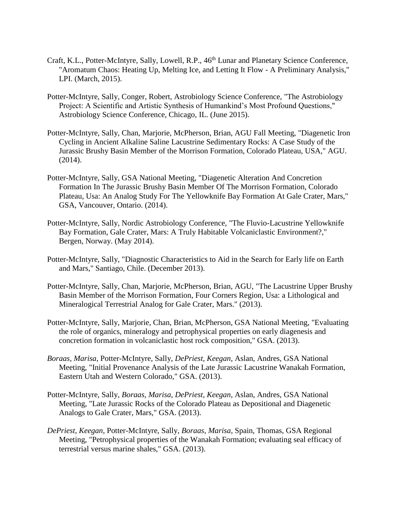- Craft, K.L., Potter-McIntyre, Sally, Lowell, R.P., 46<sup>th</sup> Lunar and Planetary Science Conference, "Aromatum Chaos: Heating Up, Melting Ice, and Letting It Flow - A Preliminary Analysis," LPI. (March, 2015).
- Potter-McIntyre, Sally, Conger, Robert, Astrobiology Science Conference, "The Astrobiology Project: A Scientific and Artistic Synthesis of Humankind's Most Profound Questions," Astrobiology Science Conference, Chicago, IL. (June 2015).
- Potter-McIntyre, Sally, Chan, Marjorie, McPherson, Brian, AGU Fall Meeting, "Diagenetic Iron Cycling in Ancient Alkaline Saline Lacustrine Sedimentary Rocks: A Case Study of the Jurassic Brushy Basin Member of the Morrison Formation, Colorado Plateau, USA," AGU. (2014).
- Potter-McIntyre, Sally, GSA National Meeting, "Diagenetic Alteration And Concretion Formation In The Jurassic Brushy Basin Member Of The Morrison Formation, Colorado Plateau, Usa: An Analog Study For The Yellowknife Bay Formation At Gale Crater, Mars," GSA, Vancouver, Ontario. (2014).
- Potter-McIntyre, Sally, Nordic Astrobiology Conference, "The Fluvio-Lacustrine Yellowknife Bay Formation, Gale Crater, Mars: A Truly Habitable Volcaniclastic Environment?," Bergen, Norway. (May 2014).
- Potter-McIntyre, Sally, "Diagnostic Characteristics to Aid in the Search for Early life on Earth and Mars," Santiago, Chile. (December 2013).
- Potter-McIntyre, Sally, Chan, Marjorie, McPherson, Brian, AGU, "The Lacustrine Upper Brushy Basin Member of the Morrison Formation, Four Corners Region, Usa: a Lithological and Mineralogical Terrestrial Analog for Gale Crater, Mars." (2013).
- Potter-McIntyre, Sally, Marjorie, Chan, Brian, McPherson, GSA National Meeting, "Evaluating the role of organics, mineralogy and petrophysical properties on early diagenesis and concretion formation in volcaniclastic host rock composition," GSA. (2013).
- *Boraas, Marisa*, Potter-McIntyre, Sally, *DePriest, Keegan*, Aslan, Andres, GSA National Meeting, "Initial Provenance Analysis of the Late Jurassic Lacustrine Wanakah Formation, Eastern Utah and Western Colorado," GSA. (2013).
- Potter-McIntyre, Sally, *Boraas, Marisa, DePriest, Keegan*, Aslan, Andres, GSA National Meeting, "Late Jurassic Rocks of the Colorado Plateau as Depositional and Diagenetic Analogs to Gale Crater, Mars," GSA. (2013).
- *DePriest, Keegan*, Potter-McIntyre, Sally, *Boraas, Marisa*, Spain, Thomas, GSA Regional Meeting, "Petrophysical properties of the Wanakah Formation; evaluating seal efficacy of terrestrial versus marine shales," GSA. (2013).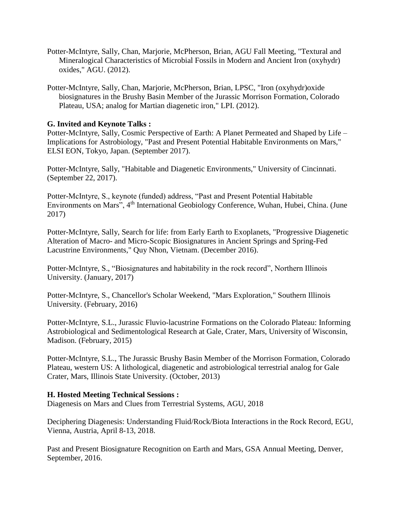- Potter-McIntyre, Sally, Chan, Marjorie, McPherson, Brian, AGU Fall Meeting, "Textural and Mineralogical Characteristics of Microbial Fossils in Modern and Ancient Iron (oxyhydr) oxides," AGU. (2012).
- Potter-McIntyre, Sally, Chan, Marjorie, McPherson, Brian, LPSC, "Iron (oxyhydr)oxide biosignatures in the Brushy Basin Member of the Jurassic Morrison Formation, Colorado Plateau, USA; analog for Martian diagenetic iron," LPI. (2012).

### **G. Invited and Keynote Talks :**

Potter-McIntyre, Sally, Cosmic Perspective of Earth: A Planet Permeated and Shaped by Life – Implications for Astrobiology, "Past and Present Potential Habitable Environments on Mars," ELSI EON, Tokyo, Japan. (September 2017).

Potter-McIntyre, Sally, "Habitable and Diagenetic Environments," University of Cincinnati. (September 22, 2017).

Potter-McIntyre, S., keynote (funded) address, "Past and Present Potential Habitable Environments on Mars", 4<sup>th</sup> International Geobiology Conference, Wuhan, Hubei, China. (June 2017)

Potter-McIntyre, Sally, Search for life: from Early Earth to Exoplanets, "Progressive Diagenetic Alteration of Macro- and Micro-Scopic Biosignatures in Ancient Springs and Spring-Fed Lacustrine Environments," Quy Nhon, Vietnam. (December 2016).

Potter-McIntyre, S., "Biosignatures and habitability in the rock record", Northern Illinois University. (January, 2017)

Potter-McIntyre, S., Chancellor's Scholar Weekend, "Mars Exploration," Southern Illinois University. (February, 2016)

Potter-McIntyre, S.L., Jurassic Fluvio-lacustrine Formations on the Colorado Plateau: Informing Astrobiological and Sedimentological Research at Gale, Crater, Mars, University of Wisconsin, Madison. (February, 2015)

Potter-McIntyre, S.L., The Jurassic Brushy Basin Member of the Morrison Formation, Colorado Plateau, western US: A lithological, diagenetic and astrobiological terrestrial analog for Gale Crater, Mars, Illinois State University. (October, 2013)

#### **H. Hosted Meeting Technical Sessions :**

Diagenesis on Mars and Clues from Terrestrial Systems, AGU, 2018

Deciphering Diagenesis: Understanding Fluid/Rock/Biota Interactions in the Rock Record, EGU, Vienna, Austria, April 8-13, 2018.

Past and Present Biosignature Recognition on Earth and Mars, GSA Annual Meeting, Denver, September, 2016.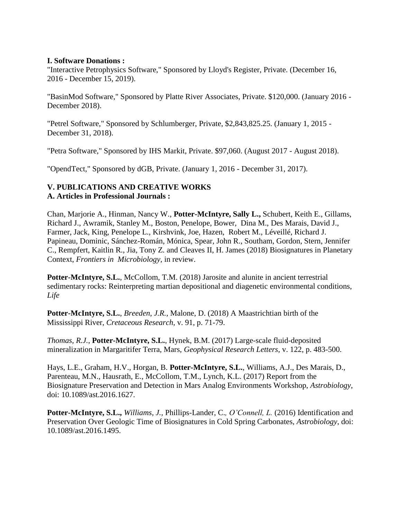#### **I. Software Donations :**

"Interactive Petrophysics Software," Sponsored by Lloyd's Register, Private. (December 16, 2016 - December 15, 2019).

"BasinMod Software," Sponsored by Platte River Associates, Private. \$120,000. (January 2016 - December 2018).

"Petrel Software," Sponsored by Schlumberger, Private, \$2,843,825.25. (January 1, 2015 - December 31, 2018).

"Petra Software," Sponsored by IHS Markit, Private. \$97,060. (August 2017 - August 2018).

"OpendTect," Sponsored by dGB, Private. (January 1, 2016 - December 31, 2017).

## **V. PUBLICATIONS AND CREATIVE WORKS A. Articles in Professional Journals :**

Chan, Marjorie A., Hinman, Nancy W., **Potter-McIntyre, Sally L.,** Schubert, Keith E., Gillams, Richard J., Awramik, Stanley M., Boston, Penelope, Bower, Dina M., Des Marais, David J., Farmer, Jack, King, Penelope L., Kirshvink, Joe, Hazen, Robert M., Léveillé, Richard J. Papineau, Dominic, Sánchez-Román, Mónica, Spear, John R., Southam, Gordon, Stern, Jennifer C., Rempfert, Kaitlin R., Jia, Tony Z. and Cleaves II, H. James (2018) Biosignatures in Planetary Context, *Frontiers in Microbiology,* in review.

Potter-McIntyre, S.L., McCollom, T.M. (2018) Jarosite and alunite in ancient terrestrial sedimentary rocks: Reinterpreting martian depositional and diagenetic environmental conditions, *Life*

**Potter-McIntyre, S.L.**, *Breeden, J.R.*, Malone, D. (2018) A Maastrichtian birth of the Mississippi River, *Cretaceous Research*, v. 91, p. 71-79.

*Thomas, R.J.*, **Potter-McIntyre, S.L.**, Hynek, B.M. (2017) Large-scale fluid-deposited mineralization in Margaritifer Terra, Mars, *Geophysical Research Letters*, v. 122, p. 483-500.

Hays, L.E., Graham, H.V., Horgan, B. **Potter-McIntyre, S.L.**, Williams, A.J., Des Marais, D., Parenteau, M.N., Hausrath, E., McCollom, T.M., Lynch, K.L. (2017) Report from the Biosignature Preservation and Detection in Mars Analog Environments Workshop, *Astrobiology*, doi: 10.1089/ast.2016.1627.

**Potter-McIntyre, S.L.,** *Williams, J.,* Phillips-Lander, C.*, O'Connell, L.* (2016) Identification and Preservation Over Geologic Time of Biosignatures in Cold Spring Carbonates, *Astrobiology*, doi: 10.1089/ast.2016.1495.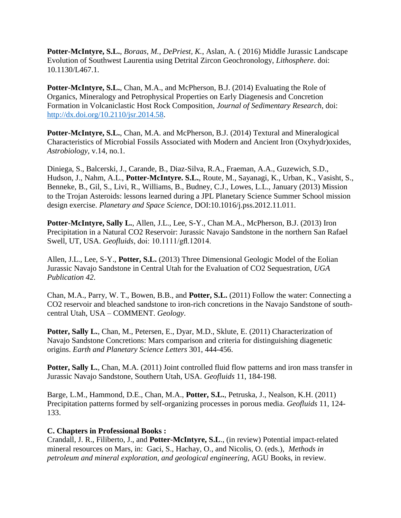**Potter-McIntyre, S.L.**, *Boraas, M., DePriest, K.*, Aslan, A. ( 2016) Middle Jurassic Landscape Evolution of Southwest Laurentia using Detrital Zircon Geochronology, *Lithosphere*. doi: 10.1130/L467.1.

Potter-McIntyre, S.L., Chan, M.A., and McPherson, B.J. (2014) Evaluating the Role of Organics, Mineralogy and Petrophysical Properties on Early Diagenesis and Concretion Formation in Volcaniclastic Host Rock Composition, *Journal of Sedimentary Research*, doi: [http://dx.doi.org/10.2110/jsr.2014.58.](http://dx.doi.org/10.2110/jsr.2014.58)

**Potter-McIntyre, S.L.**, Chan, M.A. and McPherson, B.J. (2014) Textural and Mineralogical Characteristics of Microbial Fossils Associated with Modern and Ancient Iron (Oxyhydr)oxides, *Astrobiology*, v.14, no.1.

Diniega, S., Balcerski, J., Carande, B., Diaz-Silva, R.A., Fraeman, A.A., Guzewich, S.D., Hudson, J., Nahm, A.L., **Potter-McIntyre. S.L.**, Route, M., Sayanagi, K., Urban, K., Vasisht, S., Benneke, B., Gil, S., Livi, R., Williams, B., Budney, C.J., Lowes, L.L., January (2013) Mission to the Trojan Asteroids: lessons learned during a JPL Planetary Science Summer School mission design exercise. *Planetary and Space Science*, DOI:10.1016/j.pss.2012.11.011.

**Potter-McIntyre, Sally L.**, Allen, J.L., Lee, S-Y., Chan M.A., McPherson, B.J. (2013) Iron Precipitation in a Natural CO2 Reservoir: Jurassic Navajo Sandstone in the northern San Rafael Swell, UT, USA. *Geofluids*, doi: 10.1111/gfl.12014.

Allen, J.L., Lee, S-Y., **Potter, S.L.** (2013) Three Dimensional Geologic Model of the Eolian Jurassic Navajo Sandstone in Central Utah for the Evaluation of CO2 Sequestration, *UGA Publication 42*.

Chan, M.A., Parry, W. T., Bowen, B.B., and **Potter, S.L.** (2011) Follow the water: Connecting a CO2 reservoir and bleached sandstone to iron-rich concretions in the Navajo Sandstone of southcentral Utah, USA – COMMENT. *Geology*.

Potter, Sally L., Chan, M., Petersen, E., Dyar, M.D., Sklute, E. (2011) Characterization of Navajo Sandstone Concretions: Mars comparison and criteria for distinguishing diagenetic origins. *Earth and Planetary Science Letters* 301, 444-456.

**Potter, Sally L.,** Chan, M.A. (2011) Joint controlled fluid flow patterns and iron mass transfer in Jurassic Navajo Sandstone, Southern Utah, USA. *Geofluids* 11, 184-198.

Barge, L.M., Hammond, D.E., Chan, M.A., **Potter, S.L.**, Petruska, J., Nealson, K.H. (2011) Precipitation patterns formed by self-organizing processes in porous media. *Geofluids* 11, 124- 133.

#### **C. Chapters in Professional Books :**

Crandall, J. R., Filiberto, J., and **Potter-McIntyre, S.L**., (in review) Potential impact-related mineral resources on Mars, in: Gaci, S., Hachay, O., and Nicolis, O. (eds.), *Methods in petroleum and mineral exploration, and geological engineering,* AGU Books, in review.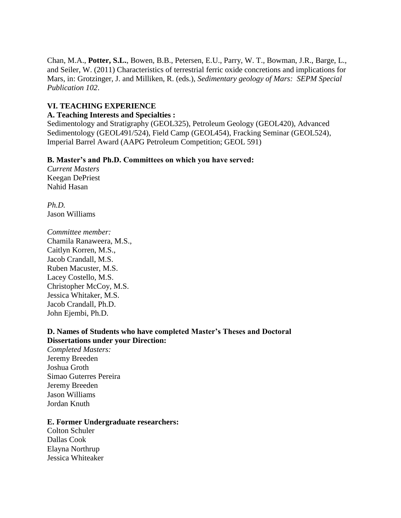Chan, M.A., **Potter, S.L.**, Bowen, B.B., Petersen, E.U., Parry, W. T., Bowman, J.R., Barge, L., and Seiler, W. (2011) Characteristics of terrestrial ferric oxide concretions and implications for Mars, in: Grotzinger, J. and Milliken, R. (eds.), *Sedimentary geology of Mars: SEPM Special Publication 102*.

### **VI. TEACHING EXPERIENCE**

#### **A. Teaching Interests and Specialties :**

Sedimentology and Stratigraphy (GEOL325), Petroleum Geology (GEOL420), Advanced Sedimentology (GEOL491/524), Field Camp (GEOL454), Fracking Seminar (GEOL524), Imperial Barrel Award (AAPG Petroleum Competition; GEOL 591)

#### **B. Master's and Ph.D. Committees on which you have served:**

*Current Masters* Keegan DePriest Nahid Hasan

*Ph.D.* Jason Williams

*Committee member:* Chamila Ranaweera, M.S., Caitlyn Korren, M.S., Jacob Crandall, M.S. Ruben Macuster, M.S. Lacey Costello, M.S. Christopher McCoy, M.S. Jessica Whitaker, M.S. Jacob Crandall, Ph.D. John Ejembi, Ph.D.

### **D. Names of Students who have completed Master's Theses and Doctoral Dissertations under your Direction:**

*Completed Masters:* Jeremy Breeden Joshua Groth Simao Guterres Pereira Jeremy Breeden Jason Williams Jordan Knuth

#### **E. Former Undergraduate researchers:**

Colton Schuler Dallas Cook Elayna Northrup Jessica Whiteaker